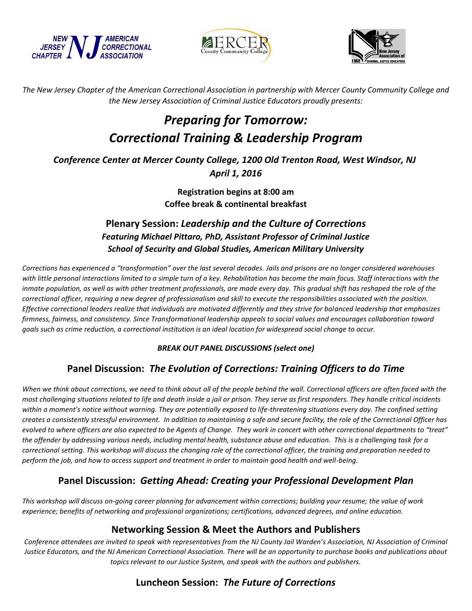





*The New Jersey Chapter of the American Correctional Association in partnership with Mercer County Community College and the New Jersey Association of Criminal Justice Educators proudly presents:* 

# *Preparing for Tomorrow: Correctional Training & Leadership Program*

*Conference Center at Mercer County College, 1200 Old Trenton Road, West Windsor, NJ April 1, 2016*

> **Registration begins at 8:00 am Coffee break & continental breakfast**

### **Plenary Session:** *Leadership and the Culture of Corrections Featuring Michael Pittaro, PhD, Assistant Professor of Criminal Justice School of Security and Global Studies, American Military University*

*Corrections has experienced a "transformation" over the last several decades. Jails and prisons are no longer considered warehouses with little personal interactions limited to a simple turn of a key. Rehabilitation has become the main focus. Staff interactions with the inmate population, as well as with other treatment professionals, are made every day. This gradual shift has reshaped the role of the correctional officer, requiring a new degree of professionalism and skill to execute the responsibilities associated with the position. Effective correctional leaders realize that individuals are motivated differently and they strive for balanced leadership that emphasizes firmness, fairness, and consistency. Since Transformational leadership appeals to social values and encourages collaboration toward goals such as crime reduction, a correctional institution is an ideal location for widespread social change to occur.*

#### *BREAK OUT PANEL DISCUSSIONS (select one)*

#### **Panel Discussion:** *The Evolution of Corrections: Training Officers to do Time*

*When we think about corrections, we need to think about all of the people behind the wall. Correctional officers are often faced with the most challenging situations related to life and death inside a jail or prison. They serve as first responders. They handle critical incidents within a moment's notice without warning. They are potentially exposed to life-threatening situations every day. The confined setting creates a consistently stressful environment. In addition to maintaining a safe and secure facility, the role of the Correctional Officer has evolved to where officers are also expected to be Agents of Change. They work in concert with other correctional departments to "treat" the offender by addressing various needs, including mental health, substance abuse and education. This is a challenging task for a correctional setting. This workshop will discuss the changing role of the correctional officer, the training and preparation needed to perform the job, and how to access support and treatment in order to maintain good health and well-being.* 

#### **Panel Discussion:** *Getting Ahead: Creating your Professional Development Plan*

*This workshop will discuss on-going career planning for advancement within corrections; building your resume; the value of work experience; benefits of networking and professional organizations; certifications, advanced degrees, and online education.*

#### **Networking Session & Meet the Authors and Publishers**

*Conference attendees are invited to speak with representatives from the NJ County Jail Warden's Association, NJ Association of Criminal Justice Educators, and the NJ American Correctional Association. There will be an opportunity to purchase books and publications about topics relevant to our Justice System, and speak with the authors and publishers.*

## **Luncheon Session:** *The Future of Corrections*